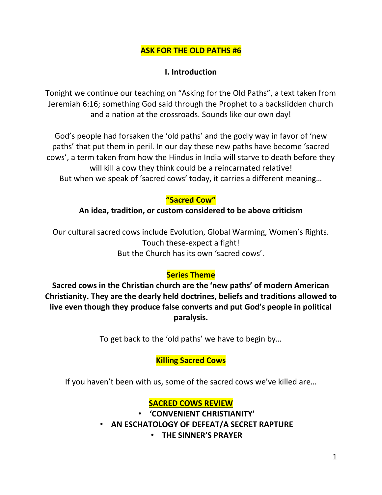### **ASK FOR THE OLD PATHS #6**

#### **I. Introduction**

Tonight we continue our teaching on "Asking for the Old Paths", a text taken from Jeremiah 6:16; something God said through the Prophet to a backslidden church and a nation at the crossroads. Sounds like our own day!

God's people had forsaken the 'old paths' and the godly way in favor of 'new paths' that put them in peril. In our day these new paths have become 'sacred cows', a term taken from how the Hindus in India will starve to death before they will kill a cow they think could be a reincarnated relative! But when we speak of 'sacred cows' today, it carries a different meaning…

### **"Sacred Cow"**

#### **An idea, tradition, or custom considered to be above criticism**

Our cultural sacred cows include Evolution, Global Warming, Women's Rights. Touch these-expect a fight! But the Church has its own 'sacred cows'.

### **Series Theme**

**Sacred cows in the Christian church are the 'new paths' of modern American Christianity. They are the dearly held doctrines, beliefs and traditions allowed to live even though they produce false converts and put God's people in political paralysis.**

To get back to the 'old paths' we have to begin by…

### **Killing Sacred Cows**

If you haven't been with us, some of the sacred cows we've killed are…

# **SACRED COWS REVIEW**

• **'CONVENIENT CHRISTIANITY'**

• **AN ESCHATOLOGY OF DEFEAT/A SECRET RAPTURE**

• **THE SINNER'S PRAYER**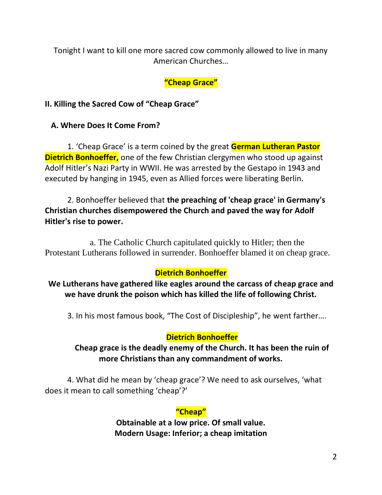Tonight I want to kill one more sacred cow commonly allowed to live in many American Churches…

# **"Cheap Grace"**

# **II. Killing the Sacred Cow of "Cheap Grace"**

# **A. Where Does It Come From?**

1. 'Cheap Grace' is a term coined by the great **German Lutheran Pastor Dietrich Bonhoeffer,** one of the few Christian clergymen who stood up against Adolf Hitler's Nazi Party in WWII. He was arrested by the Gestapo in 1943 and executed by hanging in 1945, even as Allied forces were liberating Berlin.

2. Bonhoeffer believed that **the preaching of 'cheap grace' in Germany's Christian churches disempowered the Church and paved the way for Adolf Hitler's rise to power.** 

a. The Catholic Church capitulated quickly to Hitler; then the Protestant Lutherans followed in surrender. Bonhoeffer blamed it on cheap grace.

# **Dietrich Bonhoeffer**

**We Lutherans have gathered like eagles around the carcass of cheap grace and we have drunk the poison which has killed the life of following Christ.**

3. In his most famous book, "The Cost of Discipleship", he went farther….

### **Dietrich Bonhoeffer**

# **Cheap grace is the deadly enemy of the Church. It has been the ruin of more Christians than any commandment of works.**

4. What did he mean by 'cheap grace'? We need to ask ourselves, 'what does it mean to call something 'cheap'?'

# **"Cheap"**

**Obtainable at a low price. Of small value. Modern Usage: Inferior; a cheap imitation**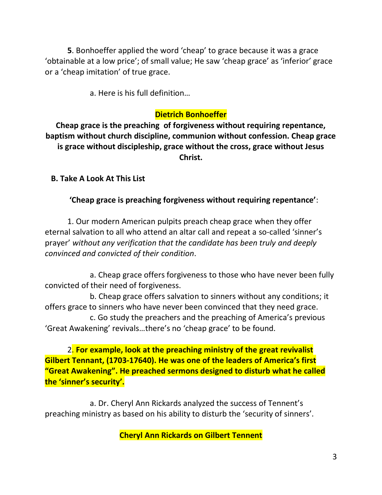**5**. Bonhoeffer applied the word 'cheap' to grace because it was a grace 'obtainable at a low price'; of small value; He saw 'cheap grace' as 'inferior' grace or a 'cheap imitation' of true grace.

a. Here is his full definition…

### **Dietrich Bonhoeffer**

**Cheap grace is the preaching of forgiveness without requiring repentance, baptism without church discipline, communion without confession. Cheap grace is grace without discipleship, grace without the cross, grace without Jesus Christ.** 

 **B. Take A Look At This List**

**'Cheap grace is preaching forgiveness without requiring repentance'**:

1. Our modern American pulpits preach cheap grace when they offer eternal salvation to all who attend an altar call and repeat a so-called 'sinner's prayer' *without any verification that the candidate has been truly and deeply convinced and convicted of their condition*.

a. Cheap grace offers forgiveness to those who have never been fully convicted of their need of forgiveness.

b. Cheap grace offers salvation to sinners without any conditions; it offers grace to sinners who have never been convinced that they need grace.

c. Go study the preachers and the preaching of America's previous 'Great Awakening' revivals…there's no 'cheap grace' to be found.

2. **For example, look at the preaching ministry of the great revivalist Gilbert Tennant, (1703-17640). He was one of the leaders of America's first "Great Awakening". He preached sermons designed to disturb what he called the 'sinner's security'.**

a. Dr. Cheryl Ann Rickards analyzed the success of Tennent's preaching ministry as based on his ability to disturb the 'security of sinners'.

**Cheryl Ann Rickards on Gilbert Tennent**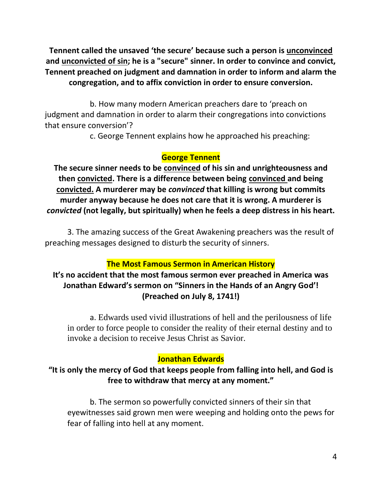**Tennent called the unsaved 'the secure' because such a person is unconvinced and unconvicted of sin; he is a "secure" sinner. In order to convince and convict, Tennent preached on judgment and damnation in order to inform and alarm the congregation, and to affix conviction in order to ensure conversion.**

b. How many modern American preachers dare to 'preach on judgment and damnation in order to alarm their congregations into convictions that ensure conversion'?

c. George Tennent explains how he approached his preaching:

# **George Tennent**

**The secure sinner needs to be convinced of his sin and unrighteousness and then convicted. There is a difference between being convinced and being convicted. A murderer may be** *convinced* **that killing is wrong but commits murder anyway because he does not care that it is wrong. A murderer is**  *convicted* **(not legally, but spiritually) when he feels a deep distress in his heart.**

3. The amazing success of the Great Awakening preachers was the result of preaching messages designed to disturb the security of sinners.

# **The Most Famous Sermon in American History**

### **It's no accident that the most famous sermon ever preached in America was Jonathan Edward's sermon on "Sinners in the Hands of an Angry God'! (Preached on July 8, 1741!)**

a. Edwards used vivid illustrations of hell and the perilousness of life in order to force people to consider the reality of their eternal destiny and to invoke a decision to receive Jesus Christ as Savior.

### **Jonathan Edwards**

### **"It is only the mercy of God that keeps people from falling into hell, and God is free to withdraw that mercy at any moment."**

b. The sermon so powerfully convicted sinners of their sin that eyewitnesses said grown men were weeping and holding onto the pews for fear of falling into hell at any moment.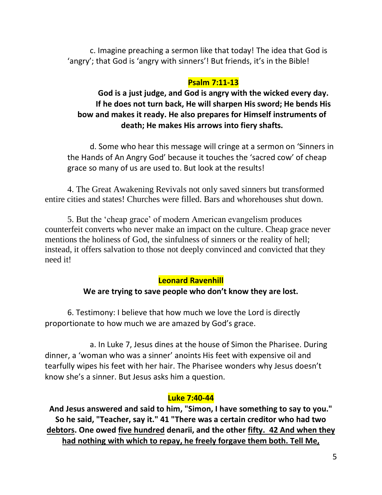c. Imagine preaching a sermon like that today! The idea that God is 'angry'; that God is 'angry with sinners'! But friends, it's in the Bible!

#### **Psalm 7:11-13**

**God is a just judge, and God is angry with the wicked every day. If he does not turn back, He will sharpen His sword; He bends His bow and makes it ready. He also prepares for Himself instruments of death; He makes His arrows into fiery shafts.** 

d. Some who hear this message will cringe at a sermon on 'Sinners in the Hands of An Angry God' because it touches the 'sacred cow' of cheap grace so many of us are used to. But look at the results!

4. The Great Awakening Revivals not only saved sinners but transformed entire cities and states! Churches were filled. Bars and whorehouses shut down.

5. But the 'cheap grace' of modern American evangelism produces counterfeit converts who never make an impact on the culture. Cheap grace never mentions the holiness of God, the sinfulness of sinners or the reality of hell; instead, it offers salvation to those not deeply convinced and convicted that they need it!

### **Leonard Ravenhill**

### **We are trying to save people who don't know they are lost.**

6. Testimony: I believe that how much we love the Lord is directly proportionate to how much we are amazed by God's grace.

a. In Luke 7, Jesus dines at the house of Simon the Pharisee. During dinner, a 'woman who was a sinner' anoints His feet with expensive oil and tearfully wipes his feet with her hair. The Pharisee wonders why Jesus doesn't know she's a sinner. But Jesus asks him a question.

### **Luke 7:40-44**

**And Jesus answered and said to him, "Simon, I have something to say to you." So he said, "Teacher, say it." 41 "There was a certain creditor who had two debtors. One owed five hundred denarii, and the other fifty. 42 And when they had nothing with which to repay, he freely forgave them both. Tell Me,**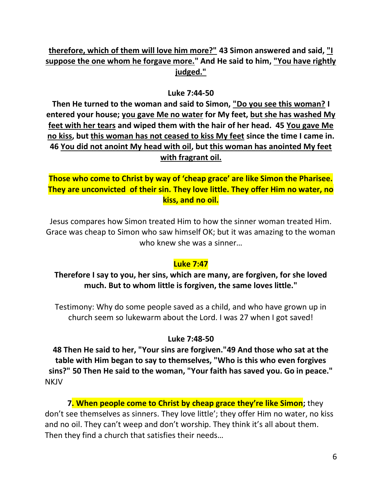# **therefore, which of them will love him more?" 43 Simon answered and said, "I suppose the one whom he forgave more." And He said to him, "You have rightly judged."**

#### **Luke 7:44-50**

**Then He turned to the woman and said to Simon, "Do you see this woman? I entered your house; you gave Me no water for My feet, but she has washed My feet with her tears and wiped them with the hair of her head. 45 You gave Me no kiss, but this woman has not ceased to kiss My feet since the time I came in. 46 You did not anoint My head with oil, but this woman has anointed My feet with fragrant oil.** 

**Those who come to Christ by way of 'cheap grace' are like Simon the Pharisee. They are unconvicted of their sin. They love little. They offer Him no water, no kiss, and no oil.**

Jesus compares how Simon treated Him to how the sinner woman treated Him. Grace was cheap to Simon who saw himself OK; but it was amazing to the woman who knew she was a sinner…

# **Luke 7:47**

**Therefore I say to you, her sins, which are many, are forgiven, for she loved much. But to whom little is forgiven, the same loves little."**

Testimony: Why do some people saved as a child, and who have grown up in church seem so lukewarm about the Lord. I was 27 when I got saved!

#### **Luke 7:48-50**

**48 Then He said to her, "Your sins are forgiven."49 And those who sat at the table with Him began to say to themselves, "Who is this who even forgives sins?" 50 Then He said to the woman, "Your faith has saved you. Go in peace." NKJV** 

**7. When people come to Christ by cheap grace they're like Simon;** they don't see themselves as sinners. They love little'; they offer Him no water, no kiss and no oil. They can't weep and don't worship. They think it's all about them. Then they find a church that satisfies their needs…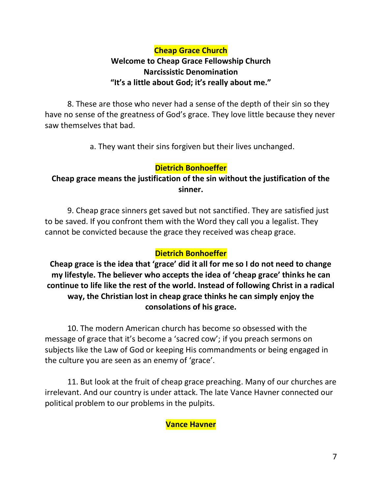# **Cheap Grace Church Welcome to Cheap Grace Fellowship Church Narcissistic Denomination "It's a little about God; it's really about me."**

8. These are those who never had a sense of the depth of their sin so they have no sense of the greatness of God's grace. They love little because they never saw themselves that bad.

a. They want their sins forgiven but their lives unchanged.

# **Dietrich Bonhoeffer**

# **Cheap grace means the justification of the sin without the justification of the sinner.**

9. Cheap grace sinners get saved but not sanctified. They are satisfied just to be saved. If you confront them with the Word they call you a legalist. They cannot be convicted because the grace they received was cheap grace.

# **Dietrich Bonhoeffer**

**Cheap grace is the idea that 'grace' did it all for me so I do not need to change my lifestyle. The believer who accepts the idea of 'cheap grace' thinks he can continue to life like the rest of the world. Instead of following Christ in a radical way, the Christian lost in cheap grace thinks he can simply enjoy the consolations of his grace.**

10. The modern American church has become so obsessed with the message of grace that it's become a 'sacred cow'; if you preach sermons on subjects like the Law of God or keeping His commandments or being engaged in the culture you are seen as an enemy of 'grace'.

11. But look at the fruit of cheap grace preaching. Many of our churches are irrelevant. And our country is under attack. The late Vance Havner connected our political problem to our problems in the pulpits.

### **Vance Havner**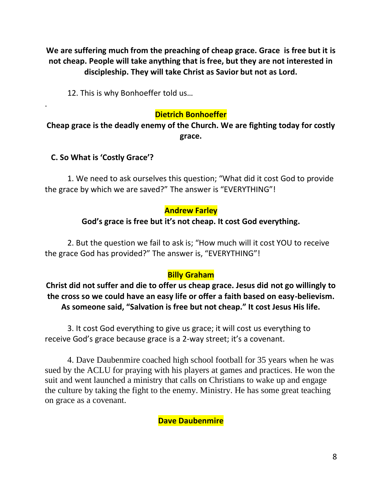**We are suffering much from the preaching of cheap grace. Grace is free but it is not cheap. People will take anything that is free, but they are not interested in discipleship. They will take Christ as Savior but not as Lord.**

12. This is why Bonhoeffer told us…

## **Dietrich Bonhoeffer**

**Cheap grace is the deadly enemy of the Church. We are fighting today for costly grace.**

### **C. So What is 'Costly Grace'?**

.

1. We need to ask ourselves this question; "What did it cost God to provide the grace by which we are saved?" The answer is "EVERYTHING"!

#### **Andrew Farley**

### **God's grace is free but it's not cheap. It cost God everything.**

2. But the question we fail to ask is; "How much will it cost YOU to receive the grace God has provided?" The answer is, "EVERYTHING"!

### **Billy Graham**

**Christ did not suffer and die to offer us cheap grace. Jesus did not go willingly to the cross so we could have an easy life or offer a faith based on easy-believism. As someone said, "Salvation is free but not cheap." It cost Jesus His life.**

3. It cost God everything to give us grace; it will cost us everything to receive God's grace because grace is a 2-way street; it's a covenant.

4. Dave Daubenmire coached high school football for 35 years when he was sued by the ACLU for praying with his players at games and practices. He won the suit and went launched a ministry that calls on Christians to wake up and engage the culture by taking the fight to the enemy. Ministry. He has some great teaching on grace as a covenant.

### **Dave Daubenmire**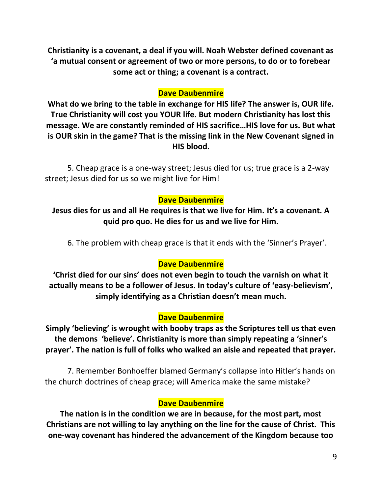**Christianity is a covenant, a deal if you will. Noah Webster defined covenant as 'a mutual consent or agreement of two or more persons, to do or to forebear some act or thing; a covenant is a contract.** 

### **Dave Daubenmire**

**What do we bring to the table in exchange for HIS life? The answer is, OUR life. True Christianity will cost you YOUR life. But modern Christianity has lost this message. We are constantly reminded of HIS sacrifice…HIS love for us. But what is OUR skin in the game? That is the missing link in the New Covenant signed in HIS blood.**

5. Cheap grace is a one-way street; Jesus died for us; true grace is a 2-way street; Jesus died for us so we might live for Him!

### **Dave Daubenmire**

**Jesus dies for us and all He requires is that we live for Him. It's a covenant. A quid pro quo. He dies for us and we live for Him.** 

6. The problem with cheap grace is that it ends with the 'Sinner's Prayer'.

### **Dave Daubenmire**

**'Christ died for our sins' does not even begin to touch the varnish on what it actually means to be a follower of Jesus. In today's culture of 'easy-believism', simply identifying as a Christian doesn't mean much.**

### **Dave Daubenmire**

**Simply 'believing' is wrought with booby traps as the Scriptures tell us that even the demons 'believe'. Christianity is more than simply repeating a 'sinner's prayer'. The nation is full of folks who walked an aisle and repeated that prayer.**

7. Remember Bonhoeffer blamed Germany's collapse into Hitler's hands on the church doctrines of cheap grace; will America make the same mistake?

### **Dave Daubenmire**

**The nation is in the condition we are in because, for the most part, most Christians are not willing to lay anything on the line for the cause of Christ. This one-way covenant has hindered the advancement of the Kingdom because too**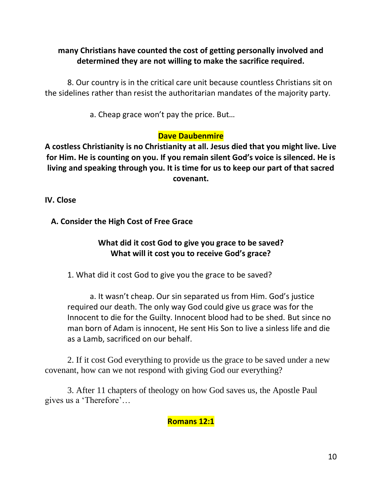### **many Christians have counted the cost of getting personally involved and determined they are not willing to make the sacrifice required.**

8. Our country is in the critical care unit because countless Christians sit on the sidelines rather than resist the authoritarian mandates of the majority party.

a. Cheap grace won't pay the price. But…

# **Dave Daubenmire**

**A costless Christianity is no Christianity at all. Jesus died that you might live. Live for Him. He is counting on you. If you remain silent God's voice is silenced. He is living and speaking through you. It is time for us to keep our part of that sacred covenant.**

**IV. Close**

 **A. Consider the High Cost of Free Grace**

# **What did it cost God to give you grace to be saved? What will it cost you to receive God's grace?**

1. What did it cost God to give you the grace to be saved?

a. It wasn't cheap. Our sin separated us from Him. God's justice required our death. The only way God could give us grace was for the Innocent to die for the Guilty. Innocent blood had to be shed. But since no man born of Adam is innocent, He sent His Son to live a sinless life and die as a Lamb, sacrificed on our behalf.

2. If it cost God everything to provide us the grace to be saved under a new covenant, how can we not respond with giving God our everything?

3. After 11 chapters of theology on how God saves us, the Apostle Paul gives us a 'Therefore'…

# **Romans 12:1**